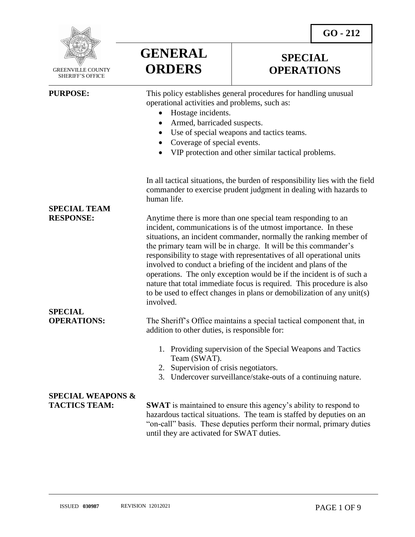**GO - 212** 



 GREENVILLE COUNTY SHERIFF'S OFFICE

**SPECIAL TEAM** 

**SPECIAL** 

 $\overline{a}$ 

**GENERAL ORDERS**

# **SPECIAL OPERATIONS**

**PURPOSE:** This policy establishes general procedures for handling unusual operational activities and problems, such as:

- Hostage incidents.
- Armed, barricaded suspects.
- Use of special weapons and tactics teams.
- Coverage of special events.
- VIP protection and other similar tactical problems.

In all tactical situations, the burden of responsibility lies with the field commander to exercise prudent judgment in dealing with hazards to human life.

**RESPONSE:** Anytime there is more than one special team responding to an incident, communications is of the utmost importance. In these situations, an incident commander, normally the ranking member of the primary team will be in charge. It will be this commander's responsibility to stage with representatives of all operational units involved to conduct a briefing of the incident and plans of the operations. The only exception would be if the incident is of such a nature that total immediate focus is required. This procedure is also to be used to effect changes in plans or demobilization of any unit(s) involved.

**OPERATIONS:** The Sheriff's Office maintains a special tactical component that, in addition to other duties, is responsible for:

- 1. Providing supervision of the Special Weapons and Tactics Team (SWAT).
- 2. Supervision of crisis negotiators.
- 3. Undercover surveillance/stake-outs of a continuing nature.

# **SPECIAL WEAPONS &**

**TACTICS TEAM: SWAT** is maintained to ensure this agency's ability to respond to hazardous tactical situations. The team is staffed by deputies on an "on-call" basis. These deputies perform their normal, primary duties until they are activated for SWAT duties.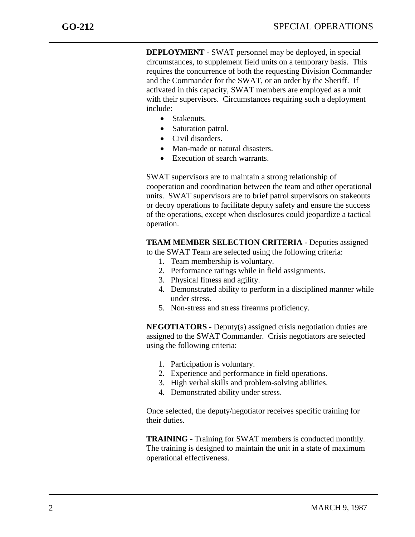**DEPLOYMENT** - SWAT personnel may be deployed, in special circumstances, to supplement field units on a temporary basis. This requires the concurrence of both the requesting Division Commander and the Commander for the SWAT, or an order by the Sheriff. If activated in this capacity, SWAT members are employed as a unit with their supervisors. Circumstances requiring such a deployment include:

- Stakeouts.
- Saturation patrol.
- Civil disorders.
- Man-made or natural disasters.
- Execution of search warrants.

SWAT supervisors are to maintain a strong relationship of cooperation and coordination between the team and other operational units. SWAT supervisors are to brief patrol supervisors on stakeouts or decoy operations to facilitate deputy safety and ensure the success of the operations, except when disclosures could jeopardize a tactical operation.

## **TEAM MEMBER SELECTION CRITERIA** - Deputies assigned

to the SWAT Team are selected using the following criteria:

- 1. Team membership is voluntary.
- 2. Performance ratings while in field assignments.
- 3. Physical fitness and agility.
- 4. Demonstrated ability to perform in a disciplined manner while under stress.
- 5. Non-stress and stress firearms proficiency.

**NEGOTIATORS** - Deputy(s) assigned crisis negotiation duties are assigned to the SWAT Commander. Crisis negotiators are selected using the following criteria:

- 1. Participation is voluntary.
- 2. Experience and performance in field operations.
- 3. High verbal skills and problem-solving abilities.
- 4. Demonstrated ability under stress.

Once selected, the deputy/negotiator receives specific training for their duties.

**TRAINING** - Training for SWAT members is conducted monthly. The training is designed to maintain the unit in a state of maximum operational effectiveness.

j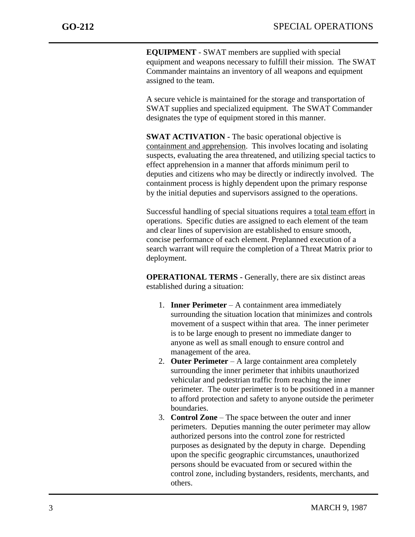**EQUIPMENT** - SWAT members are supplied with special equipment and weapons necessary to fulfill their mission. The SWAT Commander maintains an inventory of all weapons and equipment assigned to the team.

A secure vehicle is maintained for the storage and transportation of SWAT supplies and specialized equipment. The SWAT Commander designates the type of equipment stored in this manner.

**SWAT ACTIVATION -** The basic operational objective is containment and apprehension. This involves locating and isolating suspects, evaluating the area threatened, and utilizing special tactics to effect apprehension in a manner that affords minimum peril to deputies and citizens who may be directly or indirectly involved. The containment process is highly dependent upon the primary response by the initial deputies and supervisors assigned to the operations.

Successful handling of special situations requires a total team effort in operations. Specific duties are assigned to each element of the team and clear lines of supervision are established to ensure smooth, concise performance of each element. Preplanned execution of a search warrant will require the completion of a Threat Matrix prior to deployment.

**OPERATIONAL TERMS -** Generally, there are six distinct areas established during a situation:

- 1. **Inner Perimeter** A containment area immediately surrounding the situation location that minimizes and controls movement of a suspect within that area. The inner perimeter is to be large enough to present no immediate danger to anyone as well as small enough to ensure control and management of the area.
- 2. **Outer Perimeter** A large containment area completely surrounding the inner perimeter that inhibits unauthorized vehicular and pedestrian traffic from reaching the inner perimeter. The outer perimeter is to be positioned in a manner to afford protection and safety to anyone outside the perimeter boundaries.
- 3. **Control Zone** The space between the outer and inner perimeters. Deputies manning the outer perimeter may allow authorized persons into the control zone for restricted purposes as designated by the deputy in charge. Depending upon the specific geographic circumstances, unauthorized persons should be evacuated from or secured within the control zone, including bystanders, residents, merchants, and others.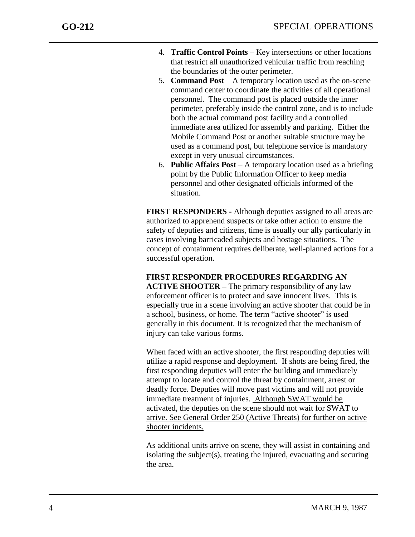- 4. **Traffic Control Points** Key intersections or other locations that restrict all unauthorized vehicular traffic from reaching the boundaries of the outer perimeter.
- 5. **Command Post** A temporary location used as the on-scene command center to coordinate the activities of all operational personnel. The command post is placed outside the inner perimeter, preferably inside the control zone, and is to include both the actual command post facility and a controlled immediate area utilized for assembly and parking. Either the Mobile Command Post or another suitable structure may be used as a command post, but telephone service is mandatory except in very unusual circumstances.
- 6. **Public Affairs Post** A temporary location used as a briefing point by the Public Information Officer to keep media personnel and other designated officials informed of the situation.

**FIRST RESPONDERS -** Although deputies assigned to all areas are authorized to apprehend suspects or take other action to ensure the safety of deputies and citizens, time is usually our ally particularly in cases involving barricaded subjects and hostage situations. The concept of containment requires deliberate, well-planned actions for a successful operation.

**FIRST RESPONDER PROCEDURES REGARDING AN ACTIVE SHOOTER –** The primary responsibility of any law enforcement officer is to protect and save innocent lives. This is especially true in a scene involving an active shooter that could be in a school, business, or home. The term "active shooter" is used generally in this document. It is recognized that the mechanism of injury can take various forms.

When faced with an active shooter, the first responding deputies will utilize a rapid response and deployment. If shots are being fired, the first responding deputies will enter the building and immediately attempt to locate and control the threat by containment, arrest or deadly force. Deputies will move past victims and will not provide immediate treatment of injuries. Although SWAT would be activated, the deputies on the scene should not wait for SWAT to arrive. See General Order 250 (Active Threats) for further on active shooter incidents.

As additional units arrive on scene, they will assist in containing and isolating the subject(s), treating the injured, evacuating and securing the area.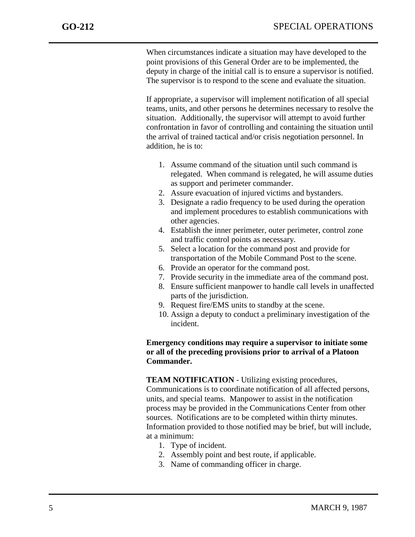When circumstances indicate a situation may have developed to the point provisions of this General Order are to be implemented, the deputy in charge of the initial call is to ensure a supervisor is notified. The supervisor is to respond to the scene and evaluate the situation.

If appropriate, a supervisor will implement notification of all special teams, units, and other persons he determines necessary to resolve the situation. Additionally, the supervisor will attempt to avoid further confrontation in favor of controlling and containing the situation until the arrival of trained tactical and/or crisis negotiation personnel. In addition, he is to:

- 1. Assume command of the situation until such command is relegated. When command is relegated, he will assume duties as support and perimeter commander.
- 2. Assure evacuation of injured victims and bystanders.
- 3. Designate a radio frequency to be used during the operation and implement procedures to establish communications with other agencies.
- 4. Establish the inner perimeter, outer perimeter, control zone and traffic control points as necessary.
- 5. Select a location for the command post and provide for transportation of the Mobile Command Post to the scene.
- 6. Provide an operator for the command post.
- 7. Provide security in the immediate area of the command post.
- 8. Ensure sufficient manpower to handle call levels in unaffected parts of the jurisdiction.
- 9. Request fire/EMS units to standby at the scene.
- 10. Assign a deputy to conduct a preliminary investigation of the incident.

### **Emergency conditions may require a supervisor to initiate some or all of the preceding provisions prior to arrival of a Platoon Commander.**

**TEAM NOTIFICATION** - Utilizing existing procedures, Communications is to coordinate notification of all affected persons, units, and special teams. Manpower to assist in the notification process may be provided in the Communications Center from other sources. Notifications are to be completed within thirty minutes. Information provided to those notified may be brief, but will include, at a minimum:

- 1. Type of incident.
- 2. Assembly point and best route, if applicable.
- 3. Name of commanding officer in charge.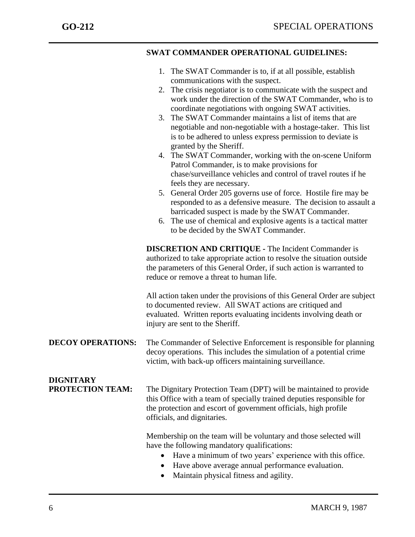|                                      | <b>SWAT COMMANDER OPERATIONAL GUIDELINES:</b>                                                                                                                                                                                                                                                                                                                                                                                                                                                                                                                                                                                                                                                                                                                                                                                                                                                                                                                                                                                    |
|--------------------------------------|----------------------------------------------------------------------------------------------------------------------------------------------------------------------------------------------------------------------------------------------------------------------------------------------------------------------------------------------------------------------------------------------------------------------------------------------------------------------------------------------------------------------------------------------------------------------------------------------------------------------------------------------------------------------------------------------------------------------------------------------------------------------------------------------------------------------------------------------------------------------------------------------------------------------------------------------------------------------------------------------------------------------------------|
|                                      | 1. The SWAT Commander is to, if at all possible, establish<br>communications with the suspect.<br>2. The crisis negotiator is to communicate with the suspect and<br>work under the direction of the SWAT Commander, who is to<br>coordinate negotiations with ongoing SWAT activities.<br>The SWAT Commander maintains a list of items that are<br>3.<br>negotiable and non-negotiable with a hostage-taker. This list<br>is to be adhered to unless express permission to deviate is<br>granted by the Sheriff.<br>4. The SWAT Commander, working with the on-scene Uniform<br>Patrol Commander, is to make provisions for<br>chase/surveillance vehicles and control of travel routes if he<br>feels they are necessary.<br>5. General Order 205 governs use of force. Hostile fire may be<br>responded to as a defensive measure. The decision to assault a<br>barricaded suspect is made by the SWAT Commander.<br>6. The use of chemical and explosive agents is a tactical matter<br>to be decided by the SWAT Commander. |
|                                      | <b>DISCRETION AND CRITIQUE - The Incident Commander is</b><br>authorized to take appropriate action to resolve the situation outside<br>the parameters of this General Order, if such action is warranted to<br>reduce or remove a threat to human life.                                                                                                                                                                                                                                                                                                                                                                                                                                                                                                                                                                                                                                                                                                                                                                         |
|                                      | All action taken under the provisions of this General Order are subject<br>to documented review. All SWAT actions are critiqued and<br>evaluated. Written reports evaluating incidents involving death or<br>injury are sent to the Sheriff.                                                                                                                                                                                                                                                                                                                                                                                                                                                                                                                                                                                                                                                                                                                                                                                     |
| <b>DECOY OPERATIONS:</b>             | The Commander of Selective Enforcement is responsible for planning<br>decoy operations. This includes the simulation of a potential crime<br>victim, with back-up officers maintaining surveillance.                                                                                                                                                                                                                                                                                                                                                                                                                                                                                                                                                                                                                                                                                                                                                                                                                             |
| <b>DIGNITARY</b><br>PROTECTION TEAM: | The Dignitary Protection Team (DPT) will be maintained to provide<br>this Office with a team of specially trained deputies responsible for<br>the protection and escort of government officials, high profile<br>officials, and dignitaries.                                                                                                                                                                                                                                                                                                                                                                                                                                                                                                                                                                                                                                                                                                                                                                                     |
|                                      | Membership on the team will be voluntary and those selected will<br>have the following mandatory qualifications:<br>Have a minimum of two years' experience with this office.<br>$\bullet$<br>Have above average annual performance evaluation.<br>٠<br>Maintain physical fitness and agility.                                                                                                                                                                                                                                                                                                                                                                                                                                                                                                                                                                                                                                                                                                                                   |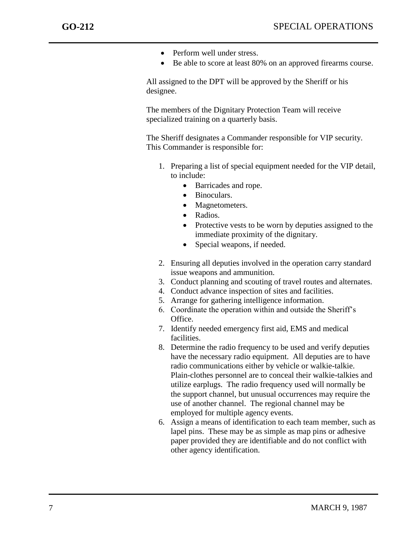- Perform well under stress.
- Be able to score at least 80% on an approved firearms course.

All assigned to the DPT will be approved by the Sheriff or his designee.

The members of the Dignitary Protection Team will receive specialized training on a quarterly basis.

The Sheriff designates a Commander responsible for VIP security. This Commander is responsible for:

- 1. Preparing a list of special equipment needed for the VIP detail, to include:
	- Barricades and rope.
	- Binoculars.
	- Magnetometers.
	- Radios.
	- Protective vests to be worn by deputies assigned to the immediate proximity of the dignitary.
	- Special weapons, if needed.
- 2. Ensuring all deputies involved in the operation carry standard issue weapons and ammunition.
- 3. Conduct planning and scouting of travel routes and alternates.
- 4. Conduct advance inspection of sites and facilities.
- 5. Arrange for gathering intelligence information.
- 6. Coordinate the operation within and outside the Sheriff's Office.
- 7. Identify needed emergency first aid, EMS and medical facilities.
- 8. Determine the radio frequency to be used and verify deputies have the necessary radio equipment. All deputies are to have radio communications either by vehicle or walkie-talkie. Plain-clothes personnel are to conceal their walkie-talkies and utilize earplugs. The radio frequency used will normally be the support channel, but unusual occurrences may require the use of another channel. The regional channel may be employed for multiple agency events.
- 6. Assign a means of identification to each team member, such as lapel pins. These may be as simple as map pins or adhesive paper provided they are identifiable and do not conflict with other agency identification.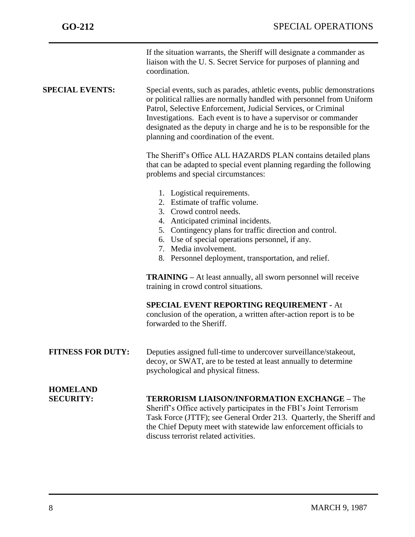|                                     | If the situation warrants, the Sheriff will designate a commander as<br>liaison with the U.S. Secret Service for purposes of planning and<br>coordination.                                                                                                                                                                                                                                                |
|-------------------------------------|-----------------------------------------------------------------------------------------------------------------------------------------------------------------------------------------------------------------------------------------------------------------------------------------------------------------------------------------------------------------------------------------------------------|
| <b>SPECIAL EVENTS:</b>              | Special events, such as parades, athletic events, public demonstrations<br>or political rallies are normally handled with personnel from Uniform<br>Patrol, Selective Enforcement, Judicial Services, or Criminal<br>Investigations. Each event is to have a supervisor or commander<br>designated as the deputy in charge and he is to be responsible for the<br>planning and coordination of the event. |
|                                     | The Sheriff's Office ALL HAZARDS PLAN contains detailed plans<br>that can be adapted to special event planning regarding the following<br>problems and special circumstances:                                                                                                                                                                                                                             |
|                                     | 1. Logistical requirements.<br>2. Estimate of traffic volume.<br>3. Crowd control needs.<br>4. Anticipated criminal incidents.<br>5. Contingency plans for traffic direction and control.<br>6. Use of special operations personnel, if any.<br>7. Media involvement.<br>8. Personnel deployment, transportation, and relief.                                                                             |
|                                     | <b>TRAINING</b> – At least annually, all sworn personnel will receive<br>training in crowd control situations.                                                                                                                                                                                                                                                                                            |
|                                     | <b>SPECIAL EVENT REPORTING REQUIREMENT - At</b><br>conclusion of the operation, a written after-action report is to be<br>forwarded to the Sheriff.                                                                                                                                                                                                                                                       |
| <b>FITNESS FOR DUTY:</b>            | Deputies assigned full-time to undercover surveillance/stakeout,<br>decoy, or SWAT, are to be tested at least annually to determine<br>psychological and physical fitness.                                                                                                                                                                                                                                |
| <b>HOMELAND</b><br><b>SECURITY:</b> | <b>TERRORISM LIAISON/INFORMATION EXCHANGE - The</b><br>Sheriff's Office actively participates in the FBI's Joint Terrorism<br>Task Force (JTTF); see General Order 213. Quarterly, the Sheriff and<br>the Chief Deputy meet with statewide law enforcement officials to<br>discuss terrorist related activities.                                                                                          |